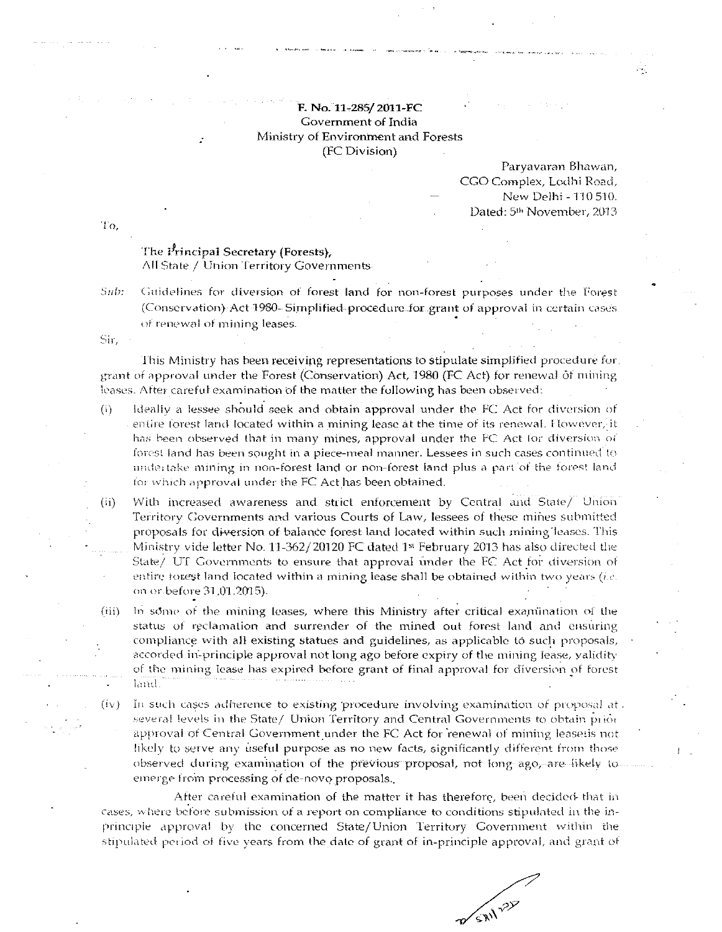## F. No. 11-285/2011-FC Government of India Ministry of Environment and Forests (FC Division)

Paryavaran Bhawan, CGO Complex, Lodhi Road, New Delhi - 110 510. Dated: 5<sup>th</sup> November, 2013

Τo,

## The Principal Secretary (Forests), All State / Union Territory Governments

Sub: Guidelines for diversion of forest land for non-forest purposes under the Torest (Conservation) Act 1980- Simplified procedure for grant of approval in certain cases of renewal of mining leases.

Sir.

This Ministry has been receiving representations to stipulate simplified procedure for grant of approval under the Forest (Conservation) Act, 1980 (FC Act) for renewal of mining leases. After careful examination of the matter the following has been observed:

- Ideally a lessee should seek and obtain approval under the FC Act for diversion of  $(i)$ entire forest land located within a mining lease at the time of its renewal. However, it has been observed that in many mines, approval under the FC Act for diversion of forest land has been sought in a piece-meal manner. Lessees in such cases continued to undertake mining in non-forest land or non-forest land plus a part of the forest land for which approval under the FC Act has been obtained.
- $(ii)$ With increased awareness and strict enforcement by Central and State/ Union Territory Governments and various Courts of Law, lessees of these mines submitted proposals for diversion of balance forest land located within such mining leases. This Ministry vide letter No. 11-362/20120 FC dated 1st February 2013 has also directed the State/ UT Governments to ensure that approval under the FC Act for diversion of entire forest land located within a mining lease shall be obtained within two years (i.e. on or before 31.01.2015).
- $(iii)$ In some of the mining leases, where this Ministry after critical examination of the status of reclamation and surrender of the mined out forest land and ensuring compliance with all existing statues and guidelines, as applicable to such proposals, accorded in-principle approval not long ago before expiry of the mining lease, validity of the mining lease has expired before grant of final approval for diversion of forest land.
- $(iv)$ In such cases adherence to existing procedure involving examination of proposal at. several levels in the State/ Union Territory and Central Governments to obtain prior approval of Central Government under the FC Act for renewal of mining leasesis not likely to serve any useful purpose as no new facts, significantly different from those observed during examination of the previous proposal, not long ago, are likely to emerge from processing of de-novo proposals.

After careful examination of the matter it has therefore, been decided that in cases, where before submission of a report on compliance to conditions stipulated in the inprinciple approval by the concerned State/Union Territory Government within the stipulated period of five years from the date of grant of in-principle approval, and grant of

**WERIT ???**